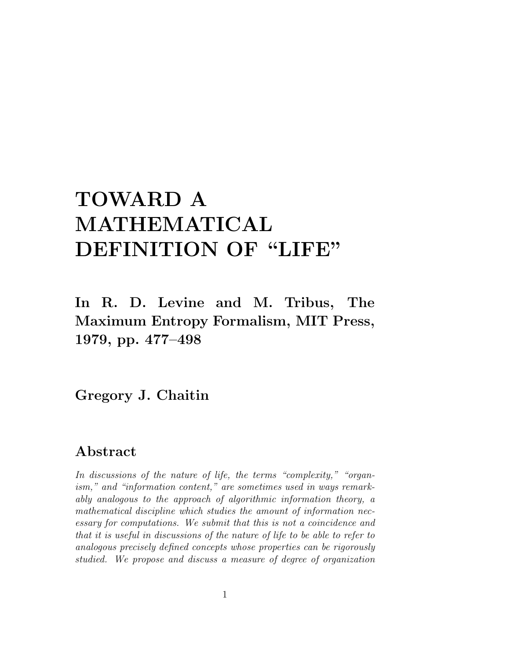# **TOWARD A MATHEMATICAL DEFINITION OF "LIFE"**

## **In R. D. Levine and M. Tribus, The Maximum Entropy Formalism, MIT Press, 1979, pp. 477–498**

**Gregory J. Chaitin**

### **Abstract**

In discussions of the nature of life, the terms "complexity," "organism," and "information content," are sometimes used in ways remarkably analogous to the approach of algorithmic information theory, a mathematical discipline which studies the amount of information necessary for computations. We submit that this is not a coincidence and that it is useful in discussions of the nature of life to be able to refer to analogous precisely defined concepts whose properties can be rigorously studied. We propose and discuss a measure of degree of organization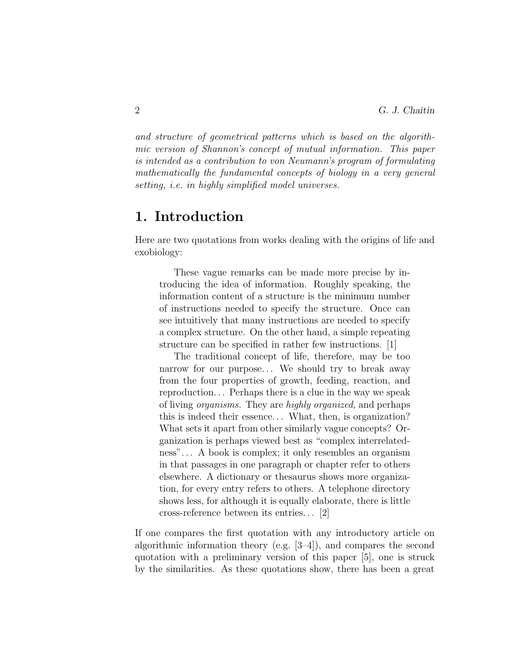and structure of geometrical patterns which is based on the algorithmic version of Shannon's concept of mutual information. This paper is intended as a contribution to von Neumann's program of formulating mathematically the fundamental concepts of biology in a very general setting, i.e. in highly simplified model universes.

#### **1. Introduction**

Here are two quotations from works dealing with the origins of life and exobiology:

These vague remarks can be made more precise by introducing the idea of information. Roughly speaking, the information content of a structure is the minimum number of instructions needed to specify the structure. Once can see intuitively that many instructions are needed to specify a complex structure. On the other hand, a simple repeating structure can be specified in rather few instructions. [1]

The traditional concept of life, therefore, may be too narrow for our purpose... We should try to break away from the four properties of growth, feeding, reaction, and reproduction. . . Perhaps there is a clue in the way we speak of living organisms. They are highly organized, and perhaps this is indeed their essence... What, then, is organization? What sets it apart from other similarly vague concepts? Organization is perhaps viewed best as "complex interrelatedness". . . A book is complex; it only resembles an organism in that passages in one paragraph or chapter refer to others elsewhere. A dictionary or thesaurus shows more organization, for every entry refers to others. A telephone directory shows less, for although it is equally elaborate, there is little cross-reference between its entries. . . [2]

If one compares the first quotation with any introductory article on algorithmic information theory (e.g. [3–4]), and compares the second quotation with a preliminary version of this paper [5], one is struck by the similarities. As these quotations show, there has been a great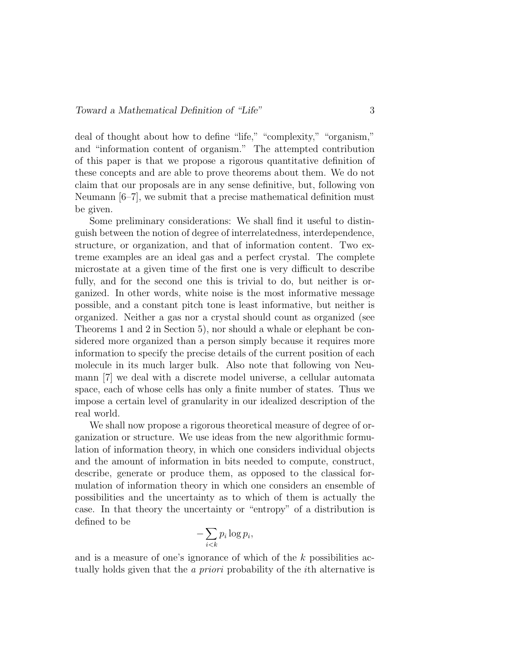deal of thought about how to define "life," "complexity," "organism," and "information content of organism." The attempted contribution of this paper is that we propose a rigorous quantitative definition of these concepts and are able to prove theorems about them. We do not claim that our proposals are in any sense definitive, but, following von Neumann  $[6–7]$ , we submit that a precise mathematical definition must be given.

Some preliminary considerations: We shall find it useful to distinguish between the notion of degree of interrelatedness, interdependence, structure, or organization, and that of information content. Two extreme examples are an ideal gas and a perfect crystal. The complete microstate at a given time of the first one is very difficult to describe fully, and for the second one this is trivial to do, but neither is organized. In other words, white noise is the most informative message possible, and a constant pitch tone is least informative, but neither is organized. Neither a gas nor a crystal should count as organized (see Theorems 1 and 2 in Section 5), nor should a whale or elephant be considered more organized than a person simply because it requires more information to specify the precise details of the current position of each molecule in its much larger bulk. Also note that following von Neumann [7] we deal with a discrete model universe, a cellular automata space, each of whose cells has only a finite number of states. Thus we impose a certain level of granularity in our idealized description of the real world.

We shall now propose a rigorous theoretical measure of degree of organization or structure. We use ideas from the new algorithmic formulation of information theory, in which one considers individual objects and the amount of information in bits needed to compute, construct, describe, generate or produce them, as opposed to the classical formulation of information theory in which one considers an ensemble of possibilities and the uncertainty as to which of them is actually the case. In that theory the uncertainty or "entropy" of a distribution is defined to be

$$
-\sum_{i
$$

and is a measure of one's ignorance of which of the k possibilities actually holds given that the *a priori* probability of the *i*th alternative is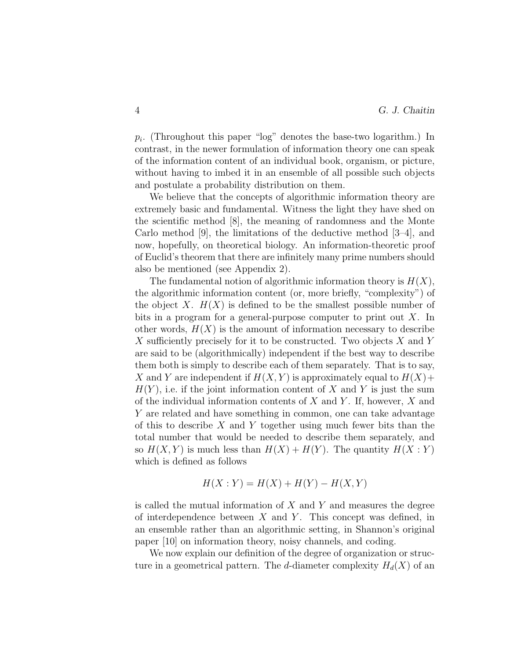$p_i$ . (Throughout this paper "log" denotes the base-two logarithm.) In contrast, in the newer formulation of information theory one can speak of the information content of an individual book, organism, or picture, without having to imbed it in an ensemble of all possible such objects and postulate a probability distribution on them.

We believe that the concepts of algorithmic information theory are extremely basic and fundamental. Witness the light they have shed on the scientific method [8], the meaning of randomness and the Monte Carlo method [9], the limitations of the deductive method [3–4], and now, hopefully, on theoretical biology. An information-theoretic proof of Euclid's theorem that there are infinitely many prime numbers should also be mentioned (see Appendix 2).

The fundamental notion of algorithmic information theory is  $H(X)$ , the algorithmic information content (or, more briefly, "complexity") of the object X.  $H(X)$  is defined to be the smallest possible number of bits in a program for a general-purpose computer to print out  $X$ . In other words,  $H(X)$  is the amount of information necessary to describe X sufficiently precisely for it to be constructed. Two objects X and Y are said to be (algorithmically) independent if the best way to describe them both is simply to describe each of them separately. That is to say, X and Y are independent if  $H(X, Y)$  is approximately equal to  $H(X)$  +  $H(Y)$ , i.e. if the joint information content of X and Y is just the sum of the individual information contents of  $X$  and  $Y$ . If, however,  $X$  and Y are related and have something in common, one can take advantage of this to describe  $X$  and  $Y$  together using much fewer bits than the total number that would be needed to describe them separately, and so  $H(X, Y)$  is much less than  $H(X) + H(Y)$ . The quantity  $H(X: Y)$ which is defined as follows

$$
H(X:Y) = H(X) + H(Y) - H(X,Y)
$$

is called the mutual information of  $X$  and  $Y$  and measures the degree of interdependence between  $X$  and  $Y$ . This concept was defined, in an ensemble rather than an algorithmic setting, in Shannon's original paper [10] on information theory, noisy channels, and coding.

We now explain our definition of the degree of organization or structure in a geometrical pattern. The d-diameter complexity  $H_d(X)$  of an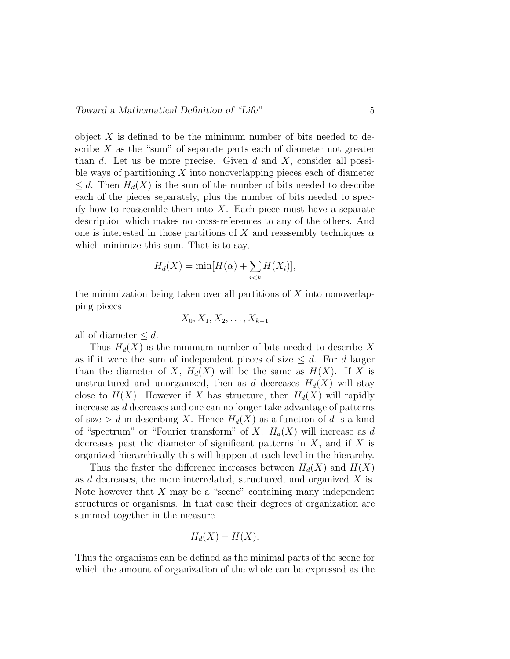object  $X$  is defined to be the minimum number of bits needed to describe  $X$  as the "sum" of separate parts each of diameter not greater than  $d$ . Let us be more precise. Given  $d$  and  $X$ , consider all possible ways of partitioning  $X$  into nonoverlapping pieces each of diameter  $\leq d$ . Then  $H_d(X)$  is the sum of the number of bits needed to describe each of the pieces separately, plus the number of bits needed to specify how to reassemble them into  $X$ . Each piece must have a separate description which makes no cross-references to any of the others. And one is interested in those partitions of X and reassembly techniques  $\alpha$ which minimize this sum. That is to say,

$$
H_d(X) = \min[H(\alpha) + \sum_{i < k} H(X_i)],
$$

the minimization being taken over all partitions of  $X$  into nonoverlapping pieces

$$
X_0, X_1, X_2, \ldots, X_{k-1}
$$

all of diameter  $\leq d$ .

Thus  $H_d(X)$  is the minimum number of bits needed to describe X as if it were the sum of independent pieces of size  $\leq d$ . For d larger than the diameter of X,  $H_d(X)$  will be the same as  $H(X)$ . If X is unstructured and unorganized, then as d decreases  $H_d(X)$  will stay close to  $H(X)$ . However if X has structure, then  $H_d(X)$  will rapidly increase as d decreases and one can no longer take advantage of patterns of size  $> d$  in describing X. Hence  $H_d(X)$  as a function of d is a kind of "spectrum" or "Fourier transform" of X.  $H_d(X)$  will increase as d decreases past the diameter of significant patterns in  $X$ , and if  $X$  is organized hierarchically this will happen at each level in the hierarchy.

Thus the faster the difference increases between  $H_d(X)$  and  $H(X)$ as  $d$  decreases, the more interrelated, structured, and organized  $X$  is. Note however that  $X$  may be a "scene" containing many independent structures or organisms. In that case their degrees of organization are summed together in the measure

$$
H_d(X) - H(X).
$$

Thus the organisms can be defined as the minimal parts of the scene for which the amount of organization of the whole can be expressed as the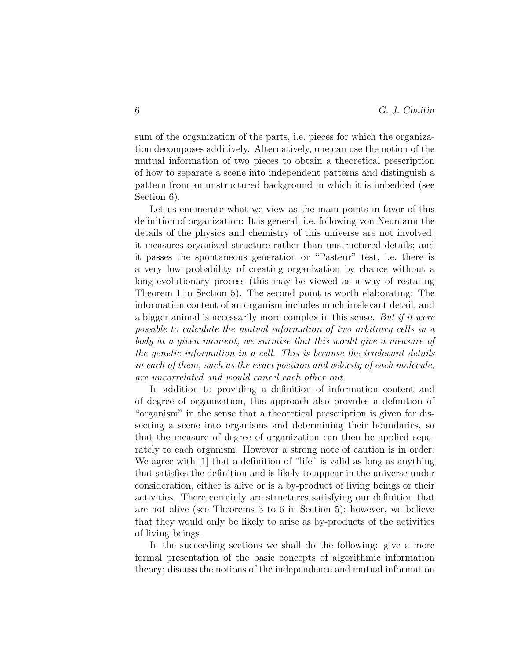sum of the organization of the parts, i.e. pieces for which the organization decomposes additively. Alternatively, one can use the notion of the mutual information of two pieces to obtain a theoretical prescription of how to separate a scene into independent patterns and distinguish a pattern from an unstructured background in which it is imbedded (see Section 6).

Let us enumerate what we view as the main points in favor of this definition of organization: It is general, i.e. following von Neumann the details of the physics and chemistry of this universe are not involved; it measures organized structure rather than unstructured details; and it passes the spontaneous generation or "Pasteur" test, i.e. there is a very low probability of creating organization by chance without a long evolutionary process (this may be viewed as a way of restating Theorem 1 in Section 5). The second point is worth elaborating: The information content of an organism includes much irrelevant detail, and a bigger animal is necessarily more complex in this sense. But if it were possible to calculate the mutual information of two arbitrary cells in a body at a given moment, we surmise that this would give a measure of the genetic information in a cell. This is because the irrelevant details in each of them, such as the exact position and velocity of each molecule, are uncorrelated and would cancel each other out.

In addition to providing a definition of information content and of degree of organization, this approach also provides a definition of "organism" in the sense that a theoretical prescription is given for dissecting a scene into organisms and determining their boundaries, so that the measure of degree of organization can then be applied separately to each organism. However a strong note of caution is in order: We agree with [1] that a definition of "life" is valid as long as anything that satisfies the definition and is likely to appear in the universe under consideration, either is alive or is a by-product of living beings or their activities. There certainly are structures satisfying our definition that are not alive (see Theorems 3 to 6 in Section 5); however, we believe that they would only be likely to arise as by-products of the activities of living beings.

In the succeeding sections we shall do the following: give a more formal presentation of the basic concepts of algorithmic information theory; discuss the notions of the independence and mutual information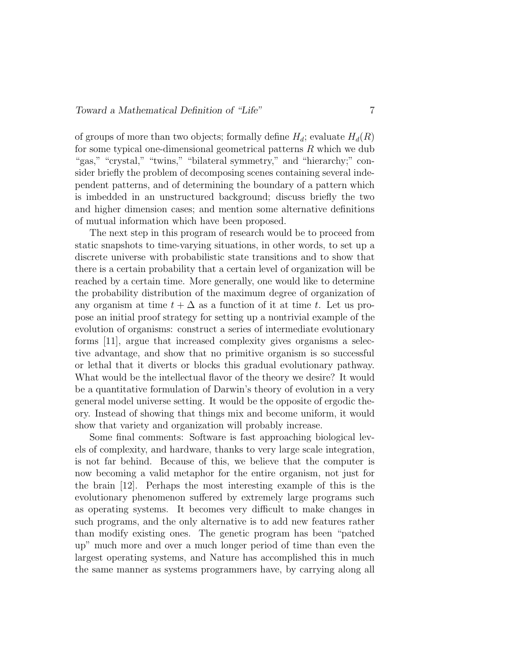of groups of more than two objects; formally define  $H_d$ ; evaluate  $H_d(R)$ for some typical one-dimensional geometrical patterns  $R$  which we dub "gas," "crystal," "twins," "bilateral symmetry," and "hierarchy;" consider briefly the problem of decomposing scenes containing several independent patterns, and of determining the boundary of a pattern which is imbedded in an unstructured background; discuss briefly the two and higher dimension cases; and mention some alternative definitions of mutual information which have been proposed.

The next step in this program of research would be to proceed from static snapshots to time-varying situations, in other words, to set up a discrete universe with probabilistic state transitions and to show that there is a certain probability that a certain level of organization will be reached by a certain time. More generally, one would like to determine the probability distribution of the maximum degree of organization of any organism at time  $t + \Delta$  as a function of it at time t. Let us propose an initial proof strategy for setting up a nontrivial example of the evolution of organisms: construct a series of intermediate evolutionary forms [11], argue that increased complexity gives organisms a selective advantage, and show that no primitive organism is so successful or lethal that it diverts or blocks this gradual evolutionary pathway. What would be the intellectual flavor of the theory we desire? It would be a quantitative formulation of Darwin's theory of evolution in a very general model universe setting. It would be the opposite of ergodic theory. Instead of showing that things mix and become uniform, it would show that variety and organization will probably increase.

Some final comments: Software is fast approaching biological levels of complexity, and hardware, thanks to very large scale integration, is not far behind. Because of this, we believe that the computer is now becoming a valid metaphor for the entire organism, not just for the brain [12]. Perhaps the most interesting example of this is the evolutionary phenomenon suffered by extremely large programs such as operating systems. It becomes very difficult to make changes in such programs, and the only alternative is to add new features rather than modify existing ones. The genetic program has been "patched up" much more and over a much longer period of time than even the largest operating systems, and Nature has accomplished this in much the same manner as systems programmers have, by carrying along all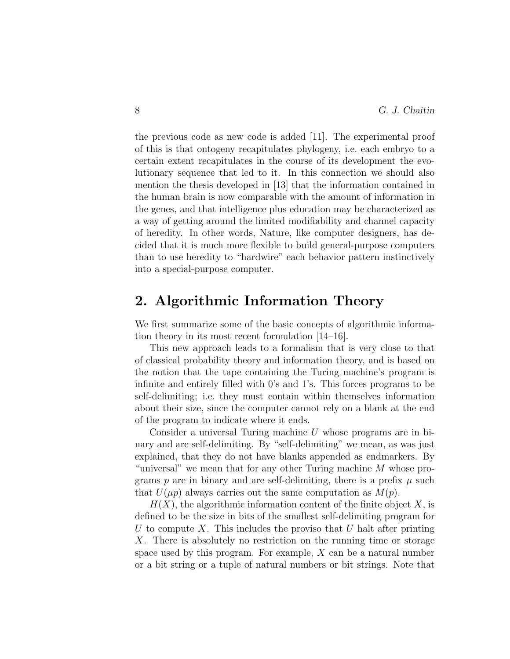the previous code as new code is added [11]. The experimental proof of this is that ontogeny recapitulates phylogeny, i.e. each embryo to a certain extent recapitulates in the course of its development the evolutionary sequence that led to it. In this connection we should also mention the thesis developed in [13] that the information contained in the human brain is now comparable with the amount of information in the genes, and that intelligence plus education may be characterized as a way of getting around the limited modifiability and channel capacity of heredity. In other words, Nature, like computer designers, has decided that it is much more flexible to build general-purpose computers than to use heredity to "hardwire" each behavior pattern instinctively into a special-purpose computer.

#### **2. Algorithmic Information Theory**

We first summarize some of the basic concepts of algorithmic information theory in its most recent formulation [14–16].

This new approach leads to a formalism that is very close to that of classical probability theory and information theory, and is based on the notion that the tape containing the Turing machine's program is infinite and entirely filled with 0's and 1's. This forces programs to be self-delimiting; i.e. they must contain within themselves information about their size, since the computer cannot rely on a blank at the end of the program to indicate where it ends.

Consider a universal Turing machine  $U$  whose programs are in binary and are self-delimiting. By "self-delimiting" we mean, as was just explained, that they do not have blanks appended as endmarkers. By "universal" we mean that for any other Turing machine  $M$  whose programs  $p$  are in binary and are self-delimiting, there is a prefix  $\mu$  such that  $U(\mu p)$  always carries out the same computation as  $M(p)$ .

 $H(X)$ , the algorithmic information content of the finite object X, is defined to be the size in bits of the smallest self-delimiting program for U to compute X. This includes the proviso that  $U$  halt after printing X. There is absolutely no restriction on the running time or storage space used by this program. For example,  $X$  can be a natural number or a bit string or a tuple of natural numbers or bit strings. Note that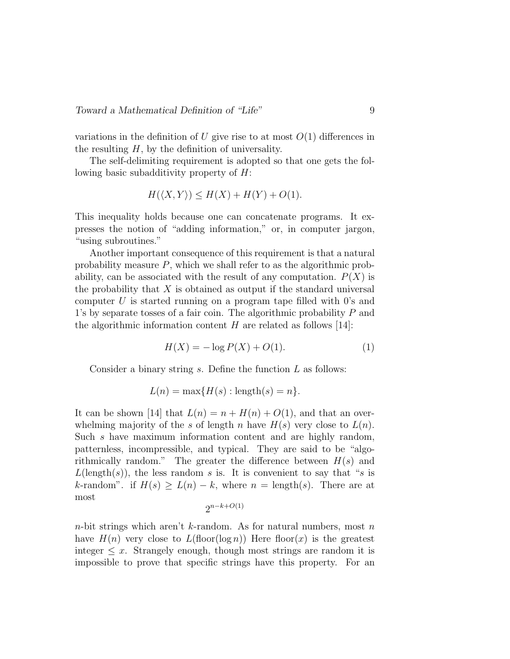variations in the definition of U give rise to at most  $O(1)$  differences in the resulting  $H$ , by the definition of universality.

The self-delimiting requirement is adopted so that one gets the following basic subadditivity property of H:

$$
H(\langle X, Y \rangle) \le H(X) + H(Y) + O(1).
$$

This inequality holds because one can concatenate programs. It expresses the notion of "adding information," or, in computer jargon, "using subroutines."

Another important consequence of this requirement is that a natural probability measure  $P$ , which we shall refer to as the algorithmic probability, can be associated with the result of any computation.  $P(X)$  is the probability that  $X$  is obtained as output if the standard universal computer  $U$  is started running on a program tape filled with  $0$ 's and 1's by separate tosses of a fair coin. The algorithmic probability P and the algorithmic information content  $H$  are related as follows [14]:

$$
H(X) = -\log P(X) + O(1).
$$
 (1)

Consider a binary string s. Define the function  $L$  as follows:

$$
L(n) = \max\{H(s) : \text{length}(s) = n\}.
$$

It can be shown [14] that  $L(n) = n + H(n) + O(1)$ , and that an overwhelming majority of the s of length n have  $H(s)$  very close to  $L(n)$ . Such s have maximum information content and are highly random, patternless, incompressible, and typical. They are said to be "algorithmically random." The greater the difference between  $H(s)$  and  $L(\text{length}(s))$ , the less random s is. It is convenient to say that "s is k-random". if  $H(s) \ge L(n) - k$ , where  $n = \text{length}(s)$ . There are at most

$$
2^{n-k+O\left(1\right)}
$$

n-bit strings which aren't k-random. As for natural numbers, most  $n$ have  $H(n)$  very close to  $L(\text{floor}(\log n))$  Here floor(x) is the greatest integer  $\leq x$ . Strangely enough, though most strings are random it is impossible to prove that specific strings have this property. For an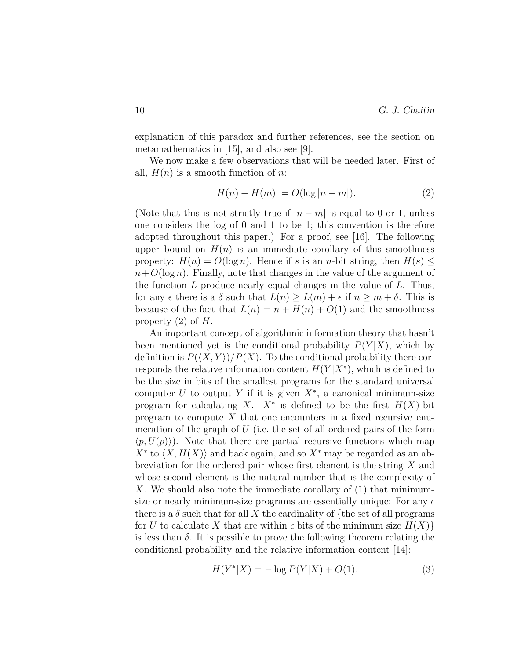explanation of this paradox and further references, see the section on metamathematics in [15], and also see [9].

We now make a few observations that will be needed later. First of all,  $H(n)$  is a smooth function of n:

$$
|H(n) - H(m)| = O(\log |n - m|). \tag{2}
$$

(Note that this is not strictly true if  $|n-m|$  is equal to 0 or 1, unless one considers the log of 0 and 1 to be 1; this convention is therefore adopted throughout this paper.) For a proof, see [16]. The following upper bound on  $H(n)$  is an immediate corollary of this smoothness property:  $H(n) = O(\log n)$ . Hence if s is an n-bit string, then  $H(s)$  $n+O(\log n)$ . Finally, note that changes in the value of the argument of the function  $L$  produce nearly equal changes in the value of  $L$ . Thus, for any  $\epsilon$  there is a  $\delta$  such that  $L(n) \ge L(m) + \epsilon$  if  $n \ge m + \delta$ . This is because of the fact that  $L(n) = n + H(n) + O(1)$  and the smoothness property  $(2)$  of H.

An important concept of algorithmic information theory that hasn't been mentioned yet is the conditional probability  $P(Y|X)$ , which by definition is  $P(\langle X, Y \rangle)/P(X)$ . To the conditional probability there corresponds the relative information content  $H(Y|X^*)$ , which is defined to be the size in bits of the smallest programs for the standard universal computer U to output Y if it is given  $X^*$ , a canonical minimum-size program for calculating X.  $X^*$  is defined to be the first  $H(X)$ -bit program to compute  $X$  that one encounters in a fixed recursive enumeration of the graph of  $U$  (i.e. the set of all ordered pairs of the form  $\langle p, U(p) \rangle$ . Note that there are partial recursive functions which map  $X^*$  to  $\langle X, H(X) \rangle$  and back again, and so  $X^*$  may be regarded as an abbreviation for the ordered pair whose first element is the string  $X$  and whose second element is the natural number that is the complexity of X. We should also note the immediate corollary of  $(1)$  that minimumsize or nearly minimum-size programs are essentially unique: For any  $\epsilon$ there is a  $\delta$  such that for all X the cardinality of {the set of all programs for U to calculate X that are within  $\epsilon$  bits of the minimum size  $H(X)$ } is less than  $\delta$ . It is possible to prove the following theorem relating the conditional probability and the relative information content [14]:

$$
H(Y^*|X) = -\log P(Y|X) + O(1).
$$
 (3)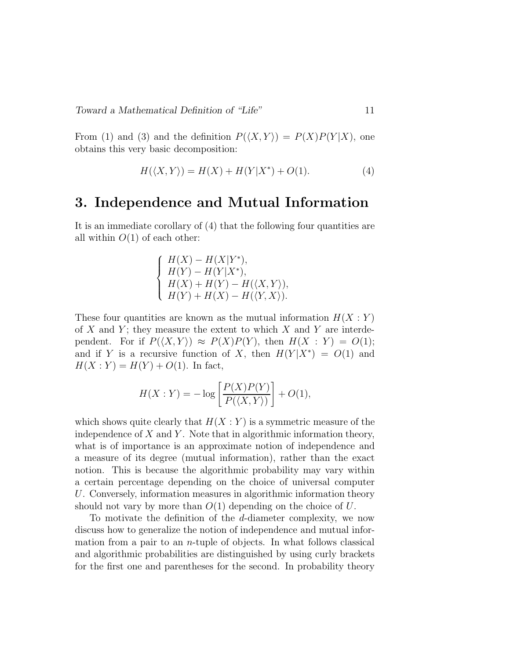From (1) and (3) and the definition  $P(\langle X, Y \rangle) = P(X)P(Y | X)$ , one obtains this very basic decomposition:

$$
H(\langle X, Y \rangle) = H(X) + H(Y|X^*) + O(1).
$$
 (4)

#### **3. Independence and Mutual Information**

It is an immediate corollary of (4) that the following four quantities are all within  $O(1)$  of each other:

$$
\left\{\begin{array}{l} H(X)-H(X|Y^*),\\ H(Y)-H(Y|X^*),\\ H(X)+H(Y)-H(\langle X,Y\rangle),\\ H(Y)+H(X)-H(\langle Y,X\rangle). \end{array}\right.
$$

These four quantities are known as the mutual information  $H(X:Y)$ of X and Y; they measure the extent to which X and Y are interdependent. For if  $P(\langle X, Y \rangle) \approx P(X)P(Y)$ , then  $H(X: Y) = O(1)$ ; and if Y is a recursive function of X, then  $H(Y|X^*) = O(1)$  and  $H(X:Y) = H(Y) + O(1)$ . In fact,

$$
H(X:Y) = -\log \left[ \frac{P(X)P(Y)}{P(\langle X, Y \rangle)} \right] + O(1),
$$

which shows quite clearly that  $H(X:Y)$  is a symmetric measure of the independence of  $X$  and  $Y$ . Note that in algorithmic information theory, what is of importance is an approximate notion of independence and a measure of its degree (mutual information), rather than the exact notion. This is because the algorithmic probability may vary within a certain percentage depending on the choice of universal computer U. Conversely, information measures in algorithmic information theory should not vary by more than  $O(1)$  depending on the choice of U.

To motivate the definition of the d-diameter complexity, we now discuss how to generalize the notion of independence and mutual information from a pair to an n-tuple of objects. In what follows classical and algorithmic probabilities are distinguished by using curly brackets for the first one and parentheses for the second. In probability theory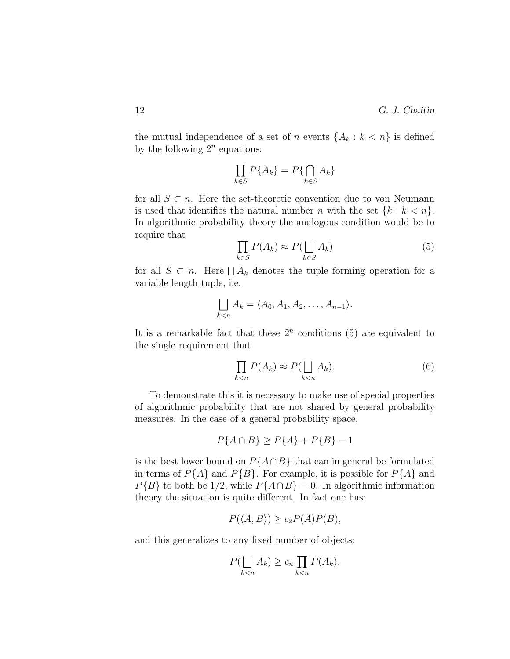the mutual independence of a set of n events  $\{A_k : k < n\}$  is defined by the following  $2^n$  equations:

$$
\prod_{k \in S} P\{A_k\} = P\{\bigcap_{k \in S} A_k\}
$$

for all  $S \subset n$ . Here the set-theoretic convention due to von Neumann is used that identifies the natural number n with the set  $\{k : k < n\}.$ In algorithmic probability theory the analogous condition would be to require that

$$
\prod_{k \in S} P(A_k) \approx P(\bigsqcup_{k \in S} A_k) \tag{5}
$$

for all  $S \subset n$ . Here  $\bigsqcup A_k$  denotes the tuple forming operation for a variable length tuple, i.e.

$$
\bigsqcup_{k < n} A_k = \langle A_0, A_1, A_2, \dots, A_{n-1} \rangle.
$$

It is a remarkable fact that these  $2^n$  conditions (5) are equivalent to the single requirement that

$$
\prod_{k < n} P(A_k) \approx P(\bigsqcup_{k < n} A_k). \tag{6}
$$

To demonstrate this it is necessary to make use of special properties of algorithmic probability that are not shared by general probability measures. In the case of a general probability space,

$$
P\{A \cap B\} \ge P\{A\} + P\{B\} - 1
$$

is the best lower bound on  $P\{A \cap B\}$  that can in general be formulated in terms of  $P{A}$  and  $P{B}$ . For example, it is possible for  $P{A}$  and  $P{B}$  to both be 1/2, while  $P{A \cap B} = 0$ . In algorithmic information theory the situation is quite different. In fact one has:

$$
P(\langle A, B \rangle) \ge c_2 P(A) P(B),
$$

and this generalizes to any fixed number of objects:

$$
P(\bigsqcup_{k < n} A_k) \ge c_n \prod_{k < n} P(A_k).
$$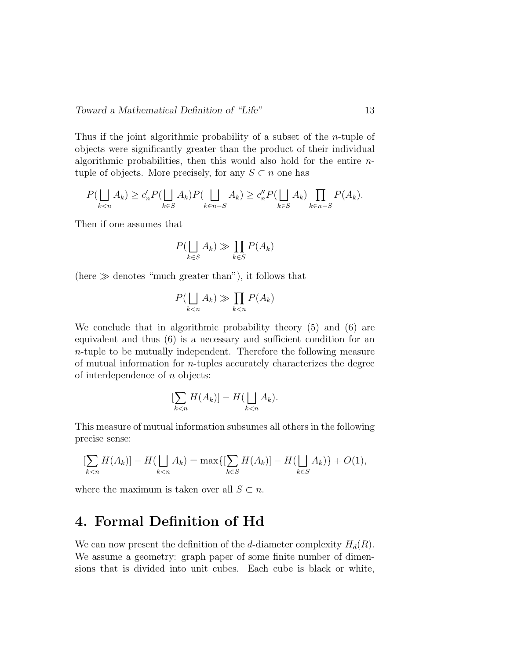Thus if the joint algorithmic probability of a subset of the *n*-tuple of objects were significantly greater than the product of their individual algorithmic probabilities, then this would also hold for the entire  $n$ tuple of objects. More precisely, for any  $S \subset n$  one has

$$
P(\bigsqcup_{k
$$

Then if one assumes that

$$
P(\bigsqcup_{k\in S} A_k) \gg \prod_{k\in S} P(A_k)
$$

(here  $\gg$  denotes "much greater than"), it follows that

$$
P(\bigsqcup_{k
$$

We conclude that in algorithmic probability theory (5) and (6) are equivalent and thus (6) is a necessary and sufficient condition for an n-tuple to be mutually independent. Therefore the following measure of mutual information for n-tuples accurately characterizes the degree of interdependence of n objects:

$$
\left[\sum_{k < n} H(A_k)\right] - H(\bigsqcup_{k < n} A_k).
$$

This measure of mutual information subsumes all others in the following precise sense:

$$
\left[\sum_{k < n} H(A_k)\right] - H(\bigcup_{k < n} A_k) = \max\{\left[\sum_{k \in S} H(A_k)\right] - H(\bigcup_{k \in S} A_k)\} + O(1),
$$

where the maximum is taken over all  $S \subset n$ .

### **4. Formal Definition of Hd**

We can now present the definition of the d-diameter complexity  $H_d(R)$ . We assume a geometry: graph paper of some finite number of dimensions that is divided into unit cubes. Each cube is black or white,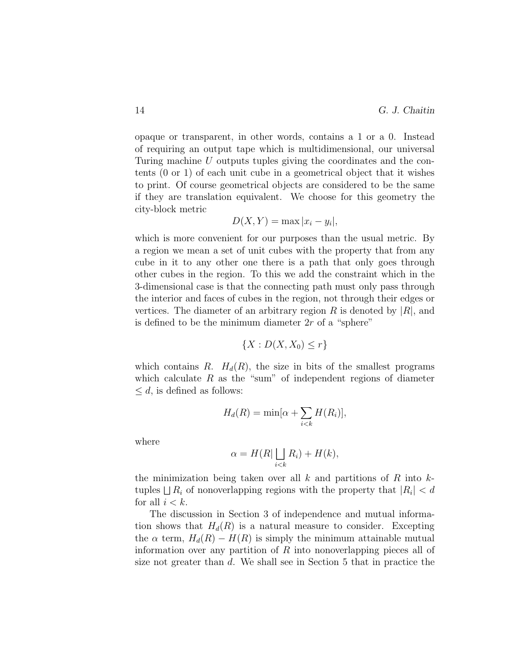opaque or transparent, in other words, contains a 1 or a 0. Instead of requiring an output tape which is multidimensional, our universal Turing machine U outputs tuples giving the coordinates and the contents (0 or 1) of each unit cube in a geometrical object that it wishes to print. Of course geometrical objects are considered to be the same if they are translation equivalent. We choose for this geometry the city-block metric

$$
D(X, Y) = \max |x_i - y_i|,
$$

which is more convenient for our purposes than the usual metric. By a region we mean a set of unit cubes with the property that from any cube in it to any other one there is a path that only goes through other cubes in the region. To this we add the constraint which in the 3-dimensional case is that the connecting path must only pass through the interior and faces of cubes in the region, not through their edges or vertices. The diameter of an arbitrary region R is denoted by  $|R|$ , and is defined to be the minimum diameter  $2r$  of a "sphere"

$$
\{X: D(X, X_0) \le r\}
$$

which contains R.  $H_d(R)$ , the size in bits of the smallest programs which calculate  $R$  as the "sum" of independent regions of diameter  $\leq d$ , is defined as follows:

$$
H_d(R) = \min[\alpha + \sum_{i < k} H(R_i)],
$$

where

$$
\alpha = H(R \mid \bigsqcup_{i < k} R_i) + H(k),
$$

the minimization being taken over all k and partitions of R into  $k$ tuples  $\prod R_i$  of nonoverlapping regions with the property that  $|R_i| < d$ for all  $i < k$ .

The discussion in Section 3 of independence and mutual information shows that  $H_d(R)$  is a natural measure to consider. Excepting the  $\alpha$  term,  $H_d(R) - H(R)$  is simply the minimum attainable mutual information over any partition of  $R$  into nonoverlapping pieces all of size not greater than d. We shall see in Section 5 that in practice the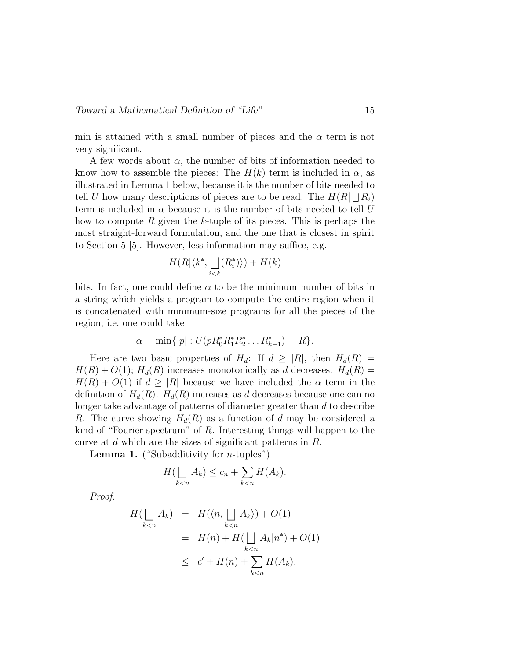min is attained with a small number of pieces and the  $\alpha$  term is not very significant.

A few words about  $\alpha$ , the number of bits of information needed to know how to assemble the pieces: The  $H(k)$  term is included in  $\alpha$ , as illustrated in Lemma 1 below, because it is the number of bits needed to tell U how many descriptions of pieces are to be read. The  $H(R \mid \Box R_i)$ term is included in  $\alpha$  because it is the number of bits needed to tell U how to compute R given the k-tuple of its pieces. This is perhaps the most straight-forward formulation, and the one that is closest in spirit to Section 5 [5]. However, less information may suffice, e.g.

$$
H(R|\langle k^*,\bigsqcup_{i
$$

bits. In fact, one could define  $\alpha$  to be the minimum number of bits in a string which yields a program to compute the entire region when it is concatenated with minimum-size programs for all the pieces of the region; i.e. one could take

$$
\alpha = \min\{|p| : U(pR_0^*R_1^*R_2^*...R_{k-1}^*) = R\}.
$$

Here are two basic properties of  $H_d$ : If  $d \geq |R|$ , then  $H_d(R)$  $H(R) + O(1)$ ;  $H_d(R)$  increases monotonically as d decreases.  $H_d(R)$  =  $H(R) + O(1)$  if  $d \geq |R|$  because we have included the  $\alpha$  term in the definition of  $H_d(R)$ .  $H_d(R)$  increases as d decreases because one can no longer take advantage of patterns of diameter greater than d to describe R. The curve showing  $H_d(R)$  as a function of d may be considered a kind of "Fourier spectrum" of  $R$ . Interesting things will happen to the curve at d which are the sizes of significant patterns in R.

**Lemma 1.** ("Subadditivity for *n*-tuples")

$$
H(\bigsqcup_{k
$$

Proof.

$$
H(\bigsqcup_{k  
=  $H(n) + H(\bigsqcup_{k  
 $\leq c' + H(n) + \sum_{k$$
$$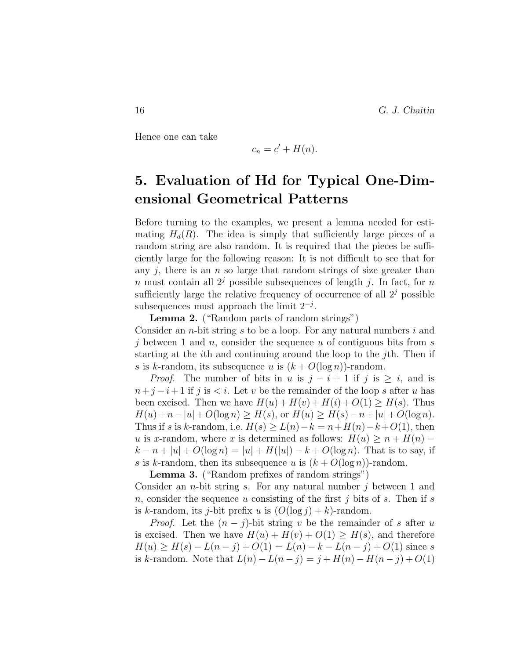Hence one can take

$$
c_n = c' + H(n).
$$

### **5. Evaluation of Hd for Typical One-Dimensional Geometrical Patterns**

Before turning to the examples, we present a lemma needed for estimating  $H_d(R)$ . The idea is simply that sufficiently large pieces of a random string are also random. It is required that the pieces be sufficiently large for the following reason: It is not difficult to see that for any  $i$ , there is an n so large that random strings of size greater than n must contain all  $2<sup>j</sup>$  possible subsequences of length j. In fact, for n sufficiently large the relative frequency of occurrence of all  $2<sup>j</sup>$  possible subsequences must approach the limit  $2^{-j}$ .

**Lemma 2.** ("Random parts of random strings") Consider an *n*-bit string s to be a loop. For any natural numbers i and j between 1 and n, consider the sequence u of contiguous bits from  $s$ starting at the *i*th and continuing around the loop to the *j*th. Then if

s is k-random, its subsequence u is  $(k + O(\log n))$ -random.

*Proof.* The number of bits in u is  $j - i + 1$  if j is  $\geq i$ , and is  $n+j-i+1$  if j is *. Let v be the remainder of the loop s after u has* been excised. Then we have  $H(u) + H(v) + H(i) + O(1) \geq H(s)$ . Thus  $H(u) + n - |u| + O(\log n) \ge H(s)$ , or  $H(u) \ge H(s) - n + |u| + O(\log n)$ . Thus if s is k-random, i.e.  $H(s) \ge L(n)-k = n+H(n)-k+O(1)$ , then u is x-random, where x is determined as follows:  $H(u) \geq n + H(n)$  $k - n + |u| + O(\log n) = |u| + H(|u|) - k + O(\log n)$ . That is to say, if s is k-random, then its subsequence u is  $(k + O(\log n))$ -random.

**Lemma 3.** ("Random prefixes of random strings")

Consider an *n*-bit string  $s$ . For any natural number  $j$  between 1 and n, consider the sequence u consisting of the first j bits of s. Then if s is k-random, its *j*-bit prefix u is  $(O(\log i) + k)$ -random.

*Proof.* Let the  $(n - j)$ -bit string v be the remainder of s after u is excised. Then we have  $H(u) + H(v) + O(1) \geq H(s)$ , and therefore  $H(u) \geq H(s) - L(n-j) + O(1) = L(n) - k - L(n-j) + O(1)$  since s is k-random. Note that  $L(n) - L(n-j) = j + H(n) - H(n-j) + O(1)$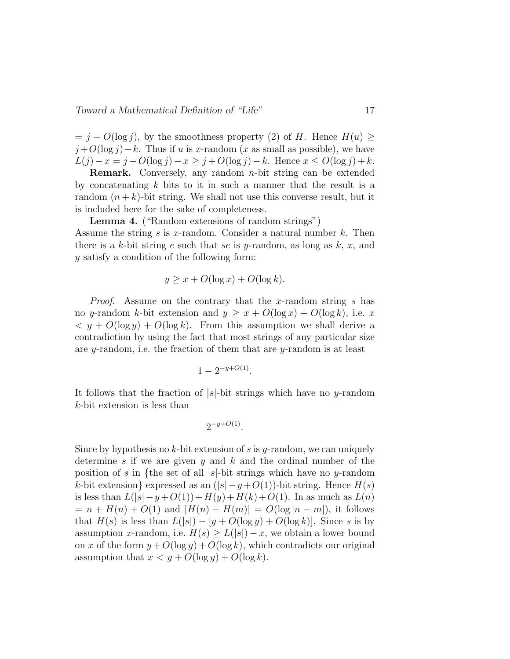$= j + O(\log j)$ , by the smoothness property (2) of H. Hence  $H(u) \geq$  $j + O(\log j) - k$ . Thus if u is x-random (x as small as possible), we have  $L(j)-x = j+O(\log j)-x \geq j+O(\log j)-k$ . Hence  $x \leq O(\log j)+k$ .

**Remark.** Conversely, any random *n*-bit string can be extended by concatenating  $k$  bits to it in such a manner that the result is a random  $(n + k)$ -bit string. We shall not use this converse result, but it is included here for the sake of completeness.

**Lemma 4.** ("Random extensions of random strings") Assume the string  $s$  is x-random. Consider a natural number  $k$ . Then there is a k-bit string e such that se is y-random, as long as  $k, x$ , and y satisfy a condition of the following form:

$$
y \ge x + O(\log x) + O(\log k).
$$

Proof. Assume on the contrary that the x-random string s has no y-random k-bit extension and  $y \ge x + O(\log x) + O(\log k)$ , i.e. x  $y + O(\log y) + O(\log k)$ . From this assumption we shall derive a contradiction by using the fact that most strings of any particular size are y-random, i.e. the fraction of them that are y-random is at least

$$
1 - 2^{-y + O(1)}.
$$

It follows that the fraction of  $|s|$ -bit strings which have no y-random k-bit extension is less than

$$
2^{-y+O(1)}.
$$

Since by hypothesis no k-bit extension of s is y-random, we can uniquely determine s if we are given y and k and the ordinal number of the position of s in {the set of all |s|-bit strings which have no y-random k-bit extension} expressed as an  $(|s| - y + O(1))$ -bit string. Hence  $H(s)$ is less than  $L(|s| - y + O(1)) + H(y) + H(k) + O(1)$ . In as much as  $L(n)$  $= n + H(n) + O(1)$  and  $|H(n) - H(m)| = O(\log |n - m|)$ , it follows that  $H(s)$  is less than  $L(|s|) - [y + O(\log y) + O(\log k)]$ . Since s is by assumption x-random, i.e.  $H(s) \geq L(|s|) - x$ , we obtain a lower bound on x of the form  $y + O(\log y) + O(\log k)$ , which contradicts our original assumption that  $x < y + O(\log y) + O(\log k)$ .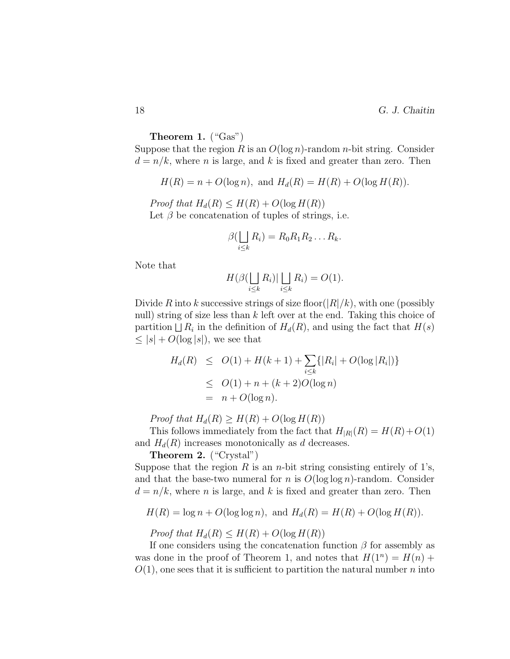**Theorem 1.** ("Gas")

Suppose that the region R is an  $O(\log n)$ -random n-bit string. Consider  $d = n/k$ , where *n* is large, and *k* is fixed and greater than zero. Then

$$
H(R) = n + O(\log n)
$$
, and  $H_d(R) = H(R) + O(\log H(R))$ .

Proof that  $H_d(R) \leq H(R) + O(\log H(R))$ Let  $\beta$  be concatenation of tuples of strings, i.e.

$$
\beta(\bigsqcup_{i\leq k} R_i) = R_0 R_1 R_2 \dots R_k.
$$

Note that

$$
H(\beta(\bigsqcup_{i\leq k} R_i)|\bigsqcup_{i\leq k} R_i) = O(1).
$$

Divide R into k successive strings of size floor( $|R|/k$ ), with one (possibly null) string of size less than  $k$  left over at the end. Taking this choice of partition  $\Box R_i$  in the definition of  $H_d(R)$ , and using the fact that  $H(s)$  $\leq$   $|s| + O(\log |s|)$ , we see that

$$
H_d(R) \leq O(1) + H(k+1) + \sum_{i \leq k} \{|R_i| + O(\log |R_i|)\}
$$
  
\n
$$
\leq O(1) + n + (k+2)O(\log n)
$$
  
\n
$$
= n + O(\log n).
$$

Proof that  $H_d(R) \geq H(R) + O(\log H(R))$ 

This follows immediately from the fact that  $H_{|R|}(R) = H(R) + O(1)$ and  $H_d(R)$  increases monotonically as d decreases.

**Theorem 2.** ("Crystal")

Suppose that the region R is an *n*-bit string consisting entirely of 1's, and that the base-two numeral for n is  $O(\log \log n)$ -random. Consider  $d = n/k$ , where *n* is large, and *k* is fixed and greater than zero. Then

$$
H(R) = \log n + O(\log \log n), \text{ and } H_d(R) = H(R) + O(\log H(R)).
$$

Proof that  $H_d(R) \leq H(R) + O(\log H(R))$ 

If one considers using the concatenation function  $\beta$  for assembly as was done in the proof of Theorem 1, and notes that  $H(1^n) = H(n) +$  $O(1)$ , one sees that it is sufficient to partition the natural number n into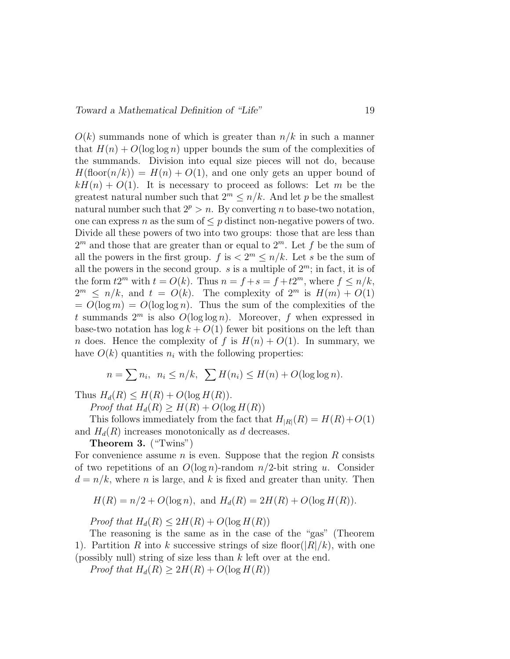$O(k)$  summands none of which is greater than  $n/k$  in such a manner that  $H(n) + O(\log \log n)$  upper bounds the sum of the complexities of the summands. Division into equal size pieces will not do, because  $H(\text{floor}(n/k)) = H(n) + O(1)$ , and one only gets an upper bound of  $kH(n) + O(1)$ . It is necessary to proceed as follows: Let m be the greatest natural number such that  $2^m \leq n/k$ . And let p be the smallest natural number such that  $2^p > n$ . By converting *n* to base-two notation, one can express n as the sum of  $\leq p$  distinct non-negative powers of two. Divide all these powers of two into two groups: those that are less than  $2^m$  and those that are greater than or equal to  $2^m$ . Let f be the sum of all the powers in the first group. f is  $\lt 2^m \leq n/k$ . Let s be the sum of all the powers in the second group. s is a multiple of  $2^m$ ; in fact, it is of the form  $t2^m$  with  $t = O(k)$ . Thus  $n = f + s = f + t2^m$ , where  $f \leq n/k$ ,  $2^m \leq n/k$ , and  $t = O(k)$ . The complexity of  $2^m$  is  $H(m) + O(1)$  $= O(\log m) = O(\log \log n)$ . Thus the sum of the complexities of the t summands  $2^m$  is also  $O(\log \log n)$ . Moreover, f when expressed in base-two notation has  $\log k + O(1)$  fewer bit positions on the left than n does. Hence the complexity of f is  $H(n) + O(1)$ . In summary, we have  $O(k)$  quantities  $n_i$  with the following properties:

$$
n = \sum n_i, \ \ n_i \le n/k, \ \ \sum H(n_i) \le H(n) + O(\log \log n).
$$

Thus  $H_d(R) \leq H(R) + O(\log H(R)).$ 

Proof that  $H_d(R) \geq H(R) + O(\log H(R))$ 

This follows immediately from the fact that  $H_{|R|}(R) = H(R) + O(1)$ and  $H_d(R)$  increases monotonically as d decreases.

**Theorem 3.** ("Twins")

For convenience assume *n* is even. Suppose that the region R consists of two repetitions of an  $O(\log n)$ -random  $n/2$ -bit string u. Consider  $d = n/k$ , where n is large, and k is fixed and greater than unity. Then

$$
H(R) = n/2 + O(\log n), \text{ and } H_d(R) = 2H(R) + O(\log H(R)).
$$

Proof that  $H_d(R) \leq 2H(R) + O(\log H(R))$ 

The reasoning is the same as in the case of the "gas" (Theorem 1). Partition R into k successive strings of size floor( $|R|/k$ ), with one (possibly null) string of size less than  $k$  left over at the end.

Proof that  $H_d(R) \geq 2H(R) + O(\log H(R))$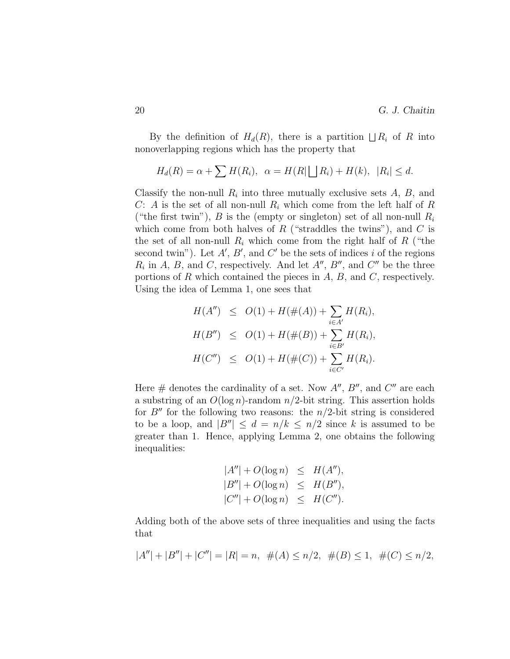By the definition of  $H_d(R)$ , there is a partition  $\bigcup R_i$  of R into nonoverlapping regions which has the property that

$$
H_d(R) = \alpha + \sum H(R_i), \ \alpha = H(R|\bigsqcup R_i) + H(k), \ |R_i| \leq d.
$$

Classify the non-null  $R_i$  into three mutually exclusive sets  $A, B$ , and C: A is the set of all non-null  $R_i$  which come from the left half of R ("the first twin"), B is the (empty or singleton) set of all non-null  $R_i$ which come from both halves of R ("straddles the twins"), and C is the set of all non-null  $R_i$  which come from the right half of R ("the second twin"). Let  $A'$ ,  $B'$ , and  $C'$  be the sets of indices i of the regions  $R_i$  in A, B, and C, respectively. And let  $A''$ ,  $B''$ , and  $C''$  be the three portions of  $R$  which contained the pieces in  $A$ ,  $B$ , and  $C$ , respectively. Using the idea of Lemma 1, one sees that

$$
H(A'') \leq O(1) + H(\#(A)) + \sum_{i \in A'} H(R_i),
$$
  
\n
$$
H(B'') \leq O(1) + H(\#(B)) + \sum_{i \in B'} H(R_i),
$$
  
\n
$$
H(C'') \leq O(1) + H(\#(C)) + \sum_{i \in C'} H(R_i).
$$

Here  $\#$  denotes the cardinality of a set. Now  $A'', B''$ , and  $C''$  are each a substring of an  $O(\log n)$ -random  $n/2$ -bit string. This assertion holds for  $B''$  for the following two reasons: the  $n/2$ -bit string is considered to be a loop, and  $|B''| \leq d = n/k \leq n/2$  since k is assumed to be greater than 1. Hence, applying Lemma 2, one obtains the following inequalities:

$$
|A''| + O(\log n) \leq H(A''),
$$
  
\n
$$
|B''| + O(\log n) \leq H(B''),
$$
  
\n
$$
|C''| + O(\log n) \leq H(C'').
$$

Adding both of the above sets of three inequalities and using the facts that

$$
|A''| + |B''| + |C''| = |R| = n, \quad \#(A) \le n/2, \quad \#(B) \le 1, \quad \#(C) \le n/2,
$$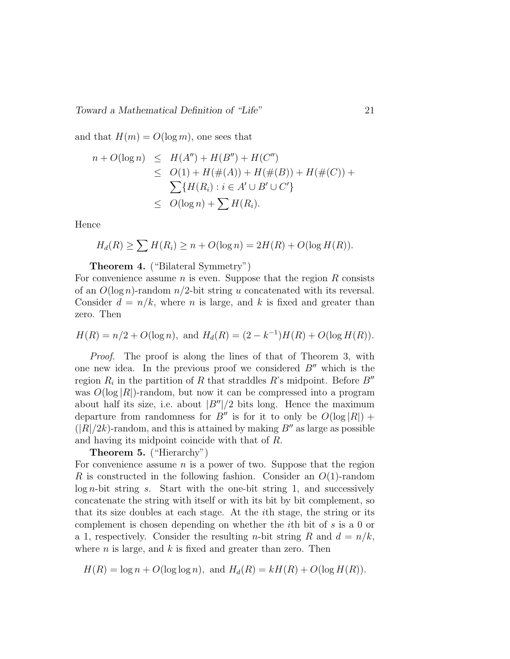and that  $H(m) = O(\log m)$ , one sees that

$$
n + O(\log n) \leq H(A'') + H(B'') + H(C'')
$$
  
\n
$$
\leq O(1) + H(\#(A)) + H(\#(B)) + H(\#(C)) +
$$
  
\n
$$
\sum \{H(R_i) : i \in A' \cup B' \cup C'\}
$$
  
\n
$$
\leq O(\log n) + \sum H(R_i).
$$

Hence

$$
H_d(R) \ge \sum H(R_i) \ge n + O(\log n) = 2H(R) + O(\log H(R)).
$$

**Theorem 4.** ("Bilateral Symmetry")

For convenience assume  $n$  is even. Suppose that the region  $R$  consists of an  $O(\log n)$ -random  $n/2$ -bit string u concatenated with its reversal. Consider  $d = n/k$ , where n is large, and k is fixed and greater than zero. Then

 $H(R) = n/2 + O(\log n)$ , and  $H_d(R) = (2 - k^{-1})H(R) + O(\log H(R))$ .

Proof. The proof is along the lines of that of Theorem 3, with one new idea. In the previous proof we considered  $B''$  which is the region  $R_i$  in the partition of R that straddles R's midpoint. Before  $B''$ was  $O(\log |R|)$ -random, but now it can be compressed into a program about half its size, i.e. about  $|B''|/2$  bits long. Hence the maximum departure from randomness for B'' is for it to only be  $O(\log |R|)$  +  $(|R|/2k)$ -random, and this is attained by making  $B''$  as large as possible and having its midpoint coincide with that of R.

**Theorem 5.** ("Hierarchy")

For convenience assume  $n$  is a power of two. Suppose that the region R is constructed in the following fashion. Consider an  $O(1)$ -random  $log n$ -bit string s. Start with the one-bit string 1, and successively concatenate the string with itself or with its bit by bit complement, so that its size doubles at each stage. At the ith stage, the string or its complement is chosen depending on whether the *i*th bit of s is a 0 or a 1, respectively. Consider the resulting *n*-bit string R and  $d = n/k$ , where  $n$  is large, and  $k$  is fixed and greater than zero. Then

$$
H(R) = \log n + O(\log \log n), \text{ and } H_d(R) = kH(R) + O(\log H(R)).
$$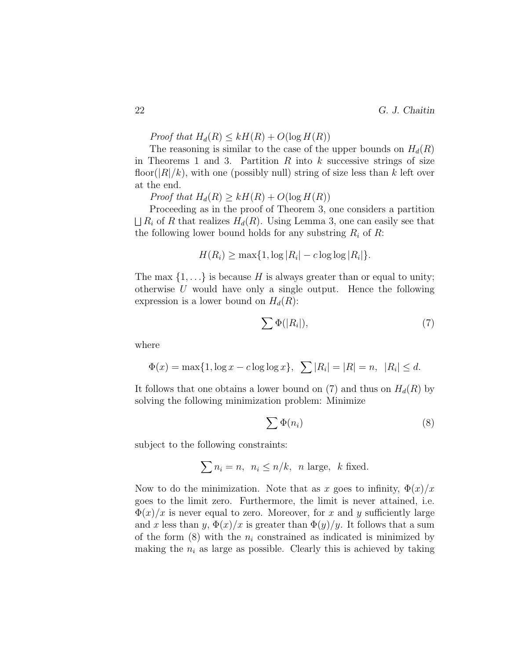Proof that  $H_d(R) \leq kH(R) + O(\log H(R))$ 

The reasoning is similar to the case of the upper bounds on  $H_d(R)$ in Theorems 1 and 3. Partition  $R$  into  $k$  successive strings of size floor( $|R|/k$ ), with one (possibly null) string of size less than k left over at the end.

Proof that  $H_d(R) \geq kH(R) + O(\log H(R))$ 

Proceeding as in the proof of Theorem 3, one considers a partition  $\Box R_i$  of R that realizes  $H_d(R)$ . Using Lemma 3, one can easily see that the following lower bound holds for any substring  $R_i$  of R:

$$
H(R_i) \ge \max\{1, \log |R_i| - c \log \log |R_i|\}.
$$

The max  $\{1,\ldots\}$  is because H is always greater than or equal to unity; otherwise U would have only a single output. Hence the following expression is a lower bound on  $H_d(R)$ :

$$
\sum \Phi(|R_i|),\tag{7}
$$

where

$$
\Phi(x) = \max\{1, \log x - c \log \log x\}, \ \sum |R_i| = |R| = n, \ |R_i| \le d.
$$

It follows that one obtains a lower bound on (7) and thus on  $H_d(R)$  by solving the following minimization problem: Minimize

$$
\sum \Phi(n_i) \tag{8}
$$

subject to the following constraints:

$$
\sum n_i = n, \ n_i \le n/k, \ n \text{ large}, \ k \text{ fixed}.
$$

Now to do the minimization. Note that as x goes to infinity,  $\Phi(x)/x$ goes to the limit zero. Furthermore, the limit is never attained, i.e.  $\Phi(x)/x$  is never equal to zero. Moreover, for x and y sufficiently large and x less than  $y, \Phi(x)/x$  is greater than  $\Phi(y)/y$ . It follows that a sum of the form  $(8)$  with the  $n_i$  constrained as indicated is minimized by making the  $n_i$  as large as possible. Clearly this is achieved by taking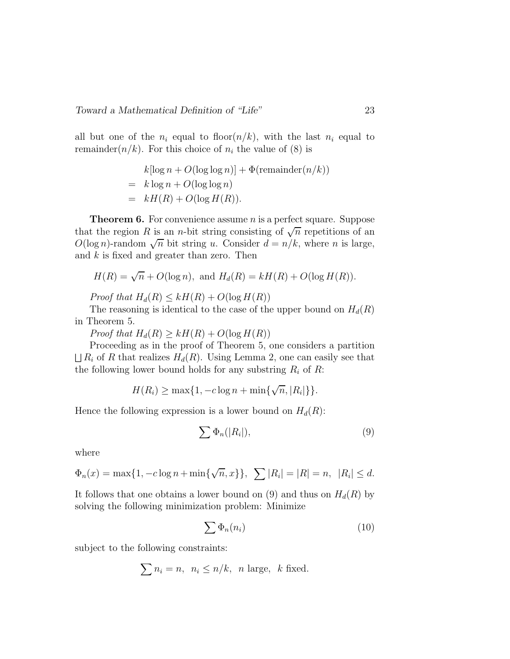all but one of the  $n_i$  equal to floor $(n/k)$ , with the last  $n_i$  equal to remainder $(n/k)$ . For this choice of  $n<sub>i</sub>$  the value of (8) is

$$
k[\log n + O(\log \log n)] + \Phi(\text{remainder}(n/k))
$$
  
=  $k \log n + O(\log \log n)$   
=  $kH(R) + O(\log H(R)).$ 

**Theorem 6.** For convenience assume *n* is a perfect square. Suppose that the region R is an n-bit string consisting of  $\sqrt{n}$  repetitions of an  $O(\log n)$ -random  $\sqrt{n}$  bit string u. Consider  $d = n/k$ , where n is large, and  $k$  is fixed and greater than zero. Then

$$
H(R) = \sqrt{n} + O(\log n), \text{ and } H_d(R) = kH(R) + O(\log H(R)).
$$

Proof that  $H_d(R) \leq kH(R) + O(\log H(R))$ 

The reasoning is identical to the case of the upper bound on  $H_d(R)$ in Theorem 5.

Proof that  $H_d(R) \geq kH(R) + O(\log H(R))$ 

Proceeding as in the proof of Theorem 5, one considers a partition  $\Box R_i$  of R that realizes  $H_d(R)$ . Using Lemma 2, one can easily see that the following lower bound holds for any substring  $R_i$  of  $R$ :

$$
H(R_i) \ge \max\{1, -c \log n + \min\{\sqrt{n}, |R_i|\}\}.
$$

Hence the following expression is a lower bound on  $H_d(R)$ :

$$
\sum \Phi_n(|R_i|),\tag{9}
$$

where

$$
\Phi_n(x) = \max\{1, -c\log n + \min\{\sqrt{n}, x\}\}, \sum |R_i| = |R| = n, |R_i| \le d.
$$

It follows that one obtains a lower bound on (9) and thus on  $H_d(R)$  by solving the following minimization problem: Minimize

$$
\sum \Phi_n(n_i) \tag{10}
$$

subject to the following constraints:

$$
\sum n_i = n, \ n_i \le n/k, \ n \text{ large}, \ k \text{ fixed}.
$$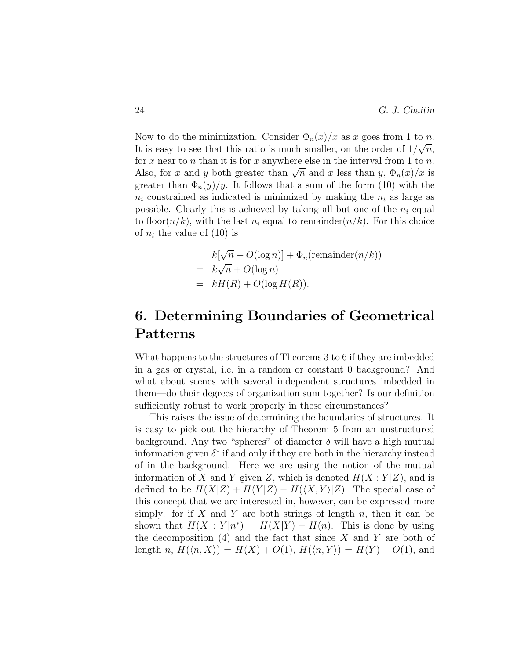Now to do the minimization. Consider  $\Phi_n(x)/x$  as x goes from 1 to n. It is easy to see that this ratio is much smaller, on the order of  $1/\sqrt{n}$ , for x near to n than it is for x anywhere else in the interval from 1 to n. Also, for x and y both greater than  $\sqrt{n}$  and x less than y,  $\Phi_n(x)/x$  is greater than  $\Phi_n(y)/y$ . It follows that a sum of the form (10) with the  $n_i$  constrained as indicated is minimized by making the  $n_i$  as large as possible. Clearly this is achieved by taking all but one of the  $n_i$  equal to floor( $n/k$ ), with the last  $n_i$  equal to remainder( $n/k$ ). For this choice of  $n_i$  the value of (10) is

$$
k[\sqrt{n} + O(\log n)] + \Phi_n(\text{remainder}(n/k))
$$
  
=  $k\sqrt{n} + O(\log n)$   
=  $kH(R) + O(\log H(R)).$ 

### **6. Determining Boundaries of Geometrical Patterns**

What happens to the structures of Theorems 3 to 6 if they are imbedded in a gas or crystal, i.e. in a random or constant 0 background? And what about scenes with several independent structures imbedded in them—do their degrees of organization sum together? Is our definition sufficiently robust to work properly in these circumstances?

This raises the issue of determining the boundaries of structures. It is easy to pick out the hierarchy of Theorem 5 from an unstructured background. Any two "spheres" of diameter  $\delta$  will have a high mutual information given  $\delta^*$  if and only if they are both in the hierarchy instead of in the background. Here we are using the notion of the mutual information of X and Y given Z, which is denoted  $H(X:Y|Z)$ , and is defined to be  $H(X|Z) + H(Y|Z) - H(\langle X, Y \rangle |Z)$ . The special case of this concept that we are interested in, however, can be expressed more simply: for if X and Y are both strings of length n, then it can be shown that  $H(X: Y | n^*) = H(X | Y) - H(n)$ . This is done by using the decomposition  $(4)$  and the fact that since X and Y are both of length n,  $H(\langle n, X \rangle) = H(X) + O(1)$ ,  $H(\langle n, Y \rangle) = H(Y) + O(1)$ , and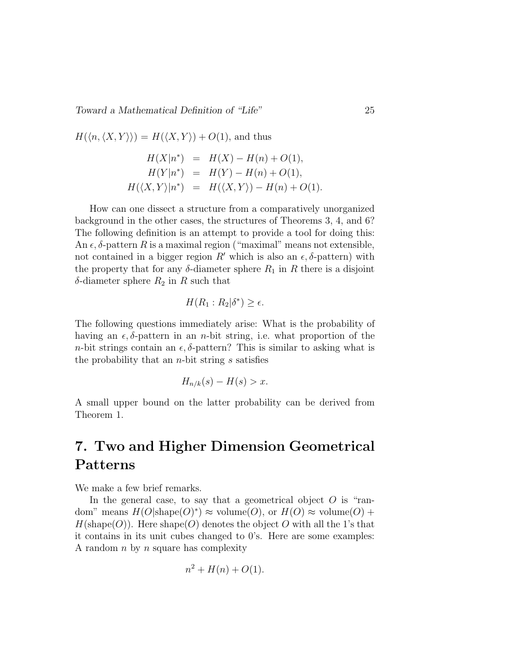*Toward a Mathematical Definition of "Life"* 25

$$
H(\langle n, \langle X, Y \rangle) = H(\langle X, Y \rangle) + O(1), \text{ and thus}
$$
  
\n
$$
H(X|n^*) = H(X) - H(n) + O(1),
$$
  
\n
$$
H(Y|n^*) = H(Y) - H(n) + O(1),
$$
  
\n
$$
H(\langle X, Y \rangle | n^*) = H(\langle X, Y \rangle) - H(n) + O(1)
$$

How can one dissect a structure from a comparatively unorganized background in the other cases, the structures of Theorems 3, 4, and 6? The following definition is an attempt to provide a tool for doing this: An  $\epsilon$ ,  $\delta$ -pattern R is a maximal region ("maximal" means not extensible, not contained in a bigger region R' which is also an  $\epsilon$ ,  $\delta$ -pattern) with the property that for any  $\delta$ -diameter sphere  $R_1$  in R there is a disjoint δ-diameter sphere  $R_2$  in R such that

$$
H(R_1: R_2|\delta^*) \ge \epsilon.
$$

The following questions immediately arise: What is the probability of having an  $\epsilon$ ,  $\delta$ -pattern in an *n*-bit string, i.e. what proportion of the n-bit strings contain an  $\epsilon$ ,  $\delta$ -pattern? This is similar to asking what is the probability that an  $n$ -bit string  $s$  satisfies

$$
H_{n/k}(s) - H(s) > x.
$$

A small upper bound on the latter probability can be derived from Theorem 1.

## **7. Two and Higher Dimension Geometrical Patterns**

We make a few brief remarks.

In the general case, to say that a geometrical object  $O$  is "random" means  $H(O|\text{shape}(O)^*) \approx \text{volume}(O)$ , or  $H(O) \approx \text{volume}(O) +$  $H(\text{shape}(O))$ . Here shape(O) denotes the object O with all the 1's that it contains in its unit cubes changed to 0's. Here are some examples: A random  $n$  by  $n$  square has complexity

$$
n^2 + H(n) + O(1).
$$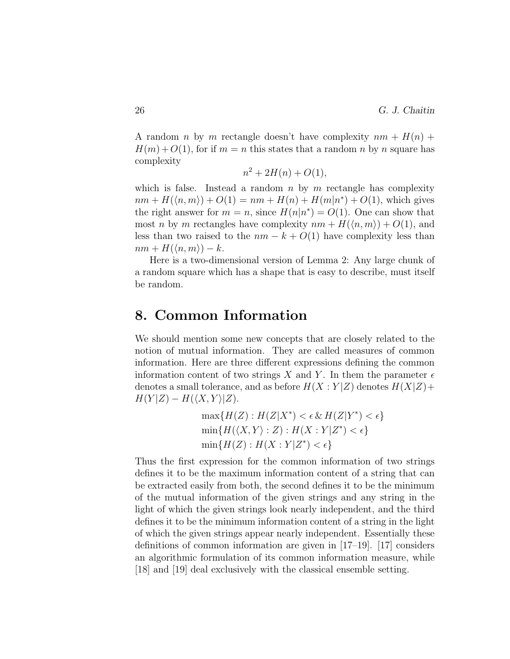A random n by m rectangle doesn't have complexity  $nm + H(n)$  +  $H(m) + O(1)$ , for if  $m = n$  this states that a random n by n square has complexity

$$
n^2 + 2H(n) + O(1),
$$

which is false. Instead a random n by  $m$  rectangle has complexity  $nm + H(\langle n,m \rangle) + O(1) = nm + H(n) + H(m|n^*) + O(1)$ , which gives the right answer for  $m = n$ , since  $H(n|n^*) = O(1)$ . One can show that most n by m rectangles have complexity  $nm + H(\langle n,m \rangle) + O(1)$ , and less than two raised to the  $nm - k + O(1)$  have complexity less than  $nm + H(\langle n,m \rangle) - k.$ 

Here is a two-dimensional version of Lemma 2: Any large chunk of a random square which has a shape that is easy to describe, must itself be random.

#### **8. Common Information**

We should mention some new concepts that are closely related to the notion of mutual information. They are called measures of common information. Here are three different expressions defining the common information content of two strings X and Y. In them the parameter  $\epsilon$ denotes a small tolerance, and as before  $H(X:Y|Z)$  denotes  $H(X|Z)+$  $H(Y|Z) - H(\langle X, Y \rangle |Z).$ 

$$
\max\{H(Z) : H(Z|X^*) < \epsilon \& H(Z|Y^*) < \epsilon\}
$$
  
\n
$$
\min\{H(\langle X, Y \rangle : Z) : H(X : Y|Z^*) < \epsilon\}
$$
  
\n
$$
\min\{H(Z) : H(X : Y|Z^*) < \epsilon\}
$$

Thus the first expression for the common information of two strings defines it to be the maximum information content of a string that can be extracted easily from both, the second defines it to be the minimum of the mutual information of the given strings and any string in the light of which the given strings look nearly independent, and the third defines it to be the minimum information content of a string in the light of which the given strings appear nearly independent. Essentially these definitions of common information are given in [17–19]. [17] considers an algorithmic formulation of its common information measure, while [18] and [19] deal exclusively with the classical ensemble setting.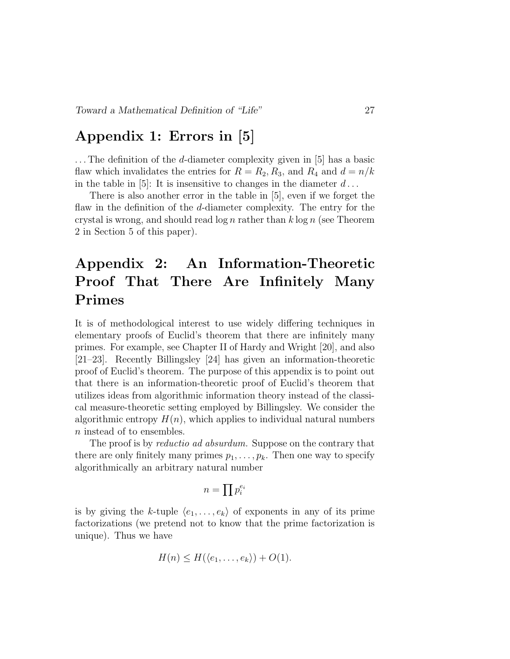### **Appendix 1: Errors in [5]**

... The definition of the d-diameter complexity given in [5] has a basic flaw which invalidates the entries for  $R = R_2, R_3$ , and  $R_4$  and  $d = n/k$ in the table in [5]: It is insensitive to changes in the diameter  $d \dots$ 

There is also another error in the table in [5], even if we forget the flaw in the definition of the d-diameter complexity. The entry for the crystal is wrong, and should read  $\log n$  rather than  $k \log n$  (see Theorem 2 in Section 5 of this paper).

## **Appendix 2: An Information-Theoretic Proof That There Are Infinitely Many Primes**

It is of methodological interest to use widely differing techniques in elementary proofs of Euclid's theorem that there are infinitely many primes. For example, see Chapter II of Hardy and Wright [20], and also [21–23]. Recently Billingsley [24] has given an information-theoretic proof of Euclid's theorem. The purpose of this appendix is to point out that there is an information-theoretic proof of Euclid's theorem that utilizes ideas from algorithmic information theory instead of the classical measure-theoretic setting employed by Billingsley. We consider the algorithmic entropy  $H(n)$ , which applies to individual natural numbers n instead of to ensembles.

The proof is by *reductio ad absurdum*. Suppose on the contrary that there are only finitely many primes  $p_1, \ldots, p_k$ . Then one way to specify algorithmically an arbitrary natural number

$$
n=\prod p_i^{e_i}
$$

is by giving the k-tuple  $\langle e_1,\ldots,e_k \rangle$  of exponents in any of its prime factorizations (we pretend not to know that the prime factorization is unique). Thus we have

$$
H(n) \le H(\langle e_1, \ldots, e_k \rangle) + O(1).
$$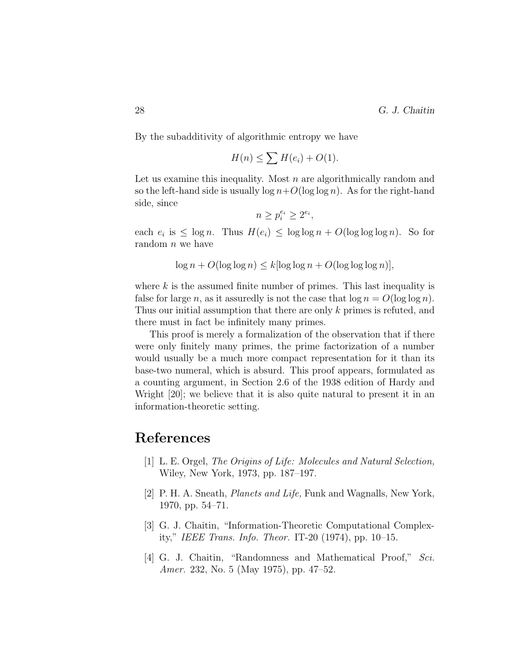By the subadditivity of algorithmic entropy we have

$$
H(n) \le \sum H(e_i) + O(1).
$$

Let us examine this inequality. Most  $n$  are algorithmically random and so the left-hand side is usually  $\log n + O(\log \log n)$ . As for the right-hand side, since

$$
n \ge p_i^{e_i} \ge 2^{e_i},
$$

each  $e_i$  is  $\leq \log n$ . Thus  $H(e_i) \leq \log \log n + O(\log \log \log n)$ . So for random  $n$  we have

$$
\log n + O(\log \log n) \le k[\log \log n + O(\log \log \log n)],
$$

where  $k$  is the assumed finite number of primes. This last inequality is false for large n, as it assuredly is not the case that  $\log n = O(\log \log n)$ . Thus our initial assumption that there are only k primes is refuted, and there must in fact be infinitely many primes.

This proof is merely a formalization of the observation that if there were only finitely many primes, the prime factorization of a number would usually be a much more compact representation for it than its base-two numeral, which is absurd. This proof appears, formulated as a counting argument, in Section 2.6 of the 1938 edition of Hardy and Wright [20]; we believe that it is also quite natural to present it in an information-theoretic setting.

#### **References**

- [1] L. E. Orgel, The Origins of Life: Molecules and Natural Selection, Wiley, New York, 1973, pp. 187–197.
- [2] P. H. A. Sneath, Planets and Life, Funk and Wagnalls, New York, 1970, pp. 54–71.
- [3] G. J. Chaitin, "Information-Theoretic Computational Complexity," IEEE Trans. Info. Theor. IT-20 (1974), pp. 10–15.
- [4] G. J. Chaitin, "Randomness and Mathematical Proof," Sci. *Amer.* 232, No. 5 (May 1975), pp. 47–52.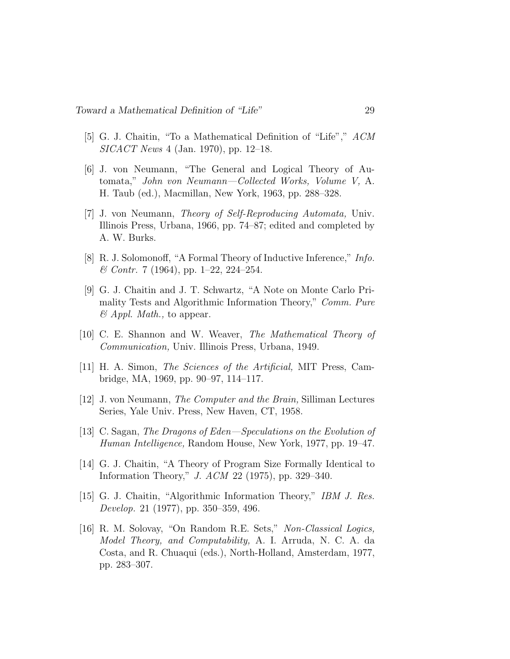- [5] G. J. Chaitin, "To a Mathematical Definition of "Life"," ACM SICACT News 4 (Jan. 1970), pp. 12–18.
- [6] J. von Neumann, "The General and Logical Theory of Automata," John von Neumann—Collected Works, Volume V, A. H. Taub (ed.), Macmillan, New York, 1963, pp. 288–328.
- [7] J. von Neumann, Theory of Self-Reproducing Automata, Univ. Illinois Press, Urbana, 1966, pp. 74–87; edited and completed by A. W. Burks.
- [8] R. J. Solomonoff, "A Formal Theory of Inductive Inference," Info.  $\&$  Contr. 7 (1964), pp. 1–22, 224–254.
- [9] G. J. Chaitin and J. T. Schwartz, "A Note on Monte Carlo Primality Tests and Algorithmic Information Theory," Comm. Pure  $\mathscr B$  Appl. Math., to appear.
- [10] C. E. Shannon and W. Weaver, The Mathematical Theory of Communication, Univ. Illinois Press, Urbana, 1949.
- [11] H. A. Simon, The Sciences of the Artificial, MIT Press, Cambridge, MA, 1969, pp. 90–97, 114–117.
- [12] J. von Neumann, The Computer and the Brain, Silliman Lectures Series, Yale Univ. Press, New Haven, CT, 1958.
- [13] C. Sagan, The Dragons of Eden—Speculations on the Evolution of Human Intelligence, Random House, New York, 1977, pp. 19–47.
- [14] G. J. Chaitin, "A Theory of Program Size Formally Identical to Information Theory," J. ACM 22 (1975), pp. 329–340.
- [15] G. J. Chaitin, "Algorithmic Information Theory," IBM J. Res. Develop. 21 (1977), pp. 350–359, 496.
- [16] R. M. Solovay, "On Random R.E. Sets," Non-Classical Logics, Model Theory, and Computability, A. I. Arruda, N. C. A. da Costa, and R. Chuaqui (eds.), North-Holland, Amsterdam, 1977, pp. 283–307.